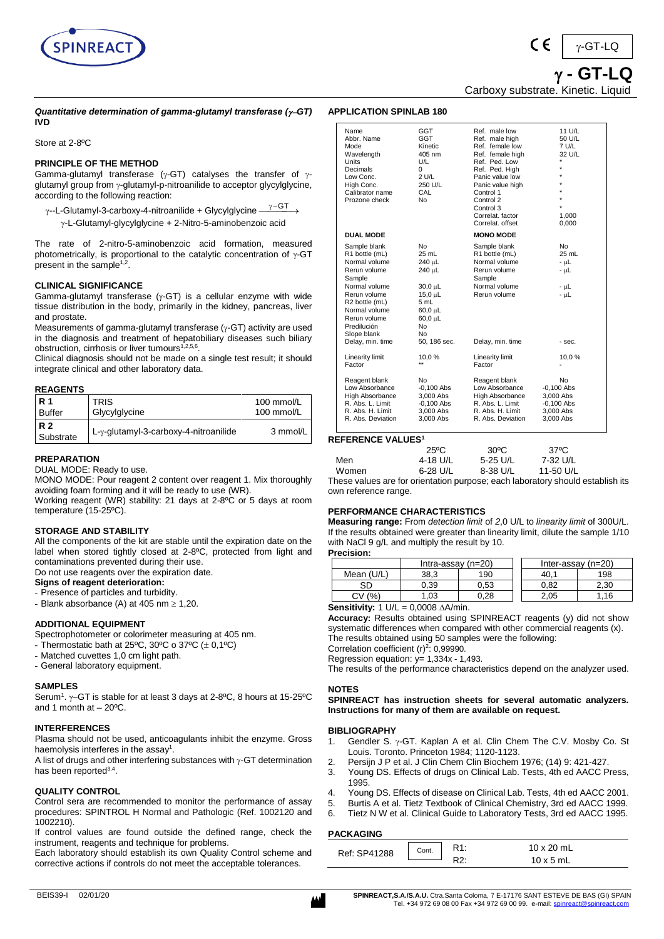

 **- GT-LQ**  $v$ -GT-LQ

Carboxy substrate. Kinetic. Liquid

### *Quantitative determination of gamma-glutamyl transferase (*−*GT)* **IVD**

Store at 2-8ºC

## **PRINCIPLE OF THE METHOD**

Gamma-glutamyl transferase ( $\gamma$ -GT) catalyses the transfer of  $\gamma$ glutamyl group from  $\gamma$ -glutamyl-p-nitroanilide to acceptor glycylglycine, according to the following reaction:

- $\gamma$ --L-Glutamyl-3-carboxy-4-nitroanilide + Glycylglycine - $\gamma$ −GT
	- -L-Glutamyl-glycylglycine + 2-Nitro-5-aminobenzoic acid

The rate of 2-nitro-5-aminobenzoic acid formation, measured photometrically, is proportional to the catalytic concentration of  $\gamma$ -GT present in the sample<sup>1,2</sup>.

## **CLINICAL SIGNIFICANCE**

Gamma-glutamyl transferase ( $\gamma$ -GT) is a cellular enzyme with wide tissue distribution in the body, primarily in the kidney, pancreas, liver and prostate.

Measurements of gamma-glutamyl transferase  $(y$ -GT) activity are used in the diagnosis and treatment of hepatobiliary diseases such biliary obstruction, cirrhosis or liver tumours<sup>1,2,5,6</sup>.

Clinical diagnosis should not be made on a single test result; it should integrate clinical and other laboratory data.

### **REAGENTS**

| <b>R</b> 1             | TRIS                                  | 100 mmol/L |
|------------------------|---------------------------------------|------------|
| <b>Buffer</b>          | Glycylglycine                         | 100 mmol/L |
| <b>R2</b><br>Substrate | L-y-glutamyl-3-carboxy-4-nitroanilide | 3 mmol/L   |

## **PREPARATION**

DUAL MODE: Ready to use.

MONO MODE: Pour reagent 2 content over reagent 1. Mix thoroughly avoiding foam forming and it will be ready to use (WR).

Working reagent (WR) stability: 21 days at 2-8ºC or 5 days at room temperature (15-25ºC).

### **STORAGE AND STABILITY**

All the components of the kit are stable until the expiration date on the label when stored tightly closed at 2-8ºC, protected from light and contaminations prevented during their use.

Do not use reagents over the expiration date.

## **Signs of reagent deterioration:**

- Presence of particles and turbidity.
- Blank absorbance (A) at 405 nm  $\geq 1,20$ .

## **ADDITIONAL EQUIPMENT**

Spectrophotometer or colorimeter measuring at 405 nm.

- Thermostatic bath at 25 $^{\circ}$ C, 30 $^{\circ}$ C o 37 $^{\circ}$ C ( $\pm$  0,1 $^{\circ}$ C)
- Matched cuvettes 1,0 cm light path.
- General laboratory equipment.

### **SAMPLES**

Serum<sup>1</sup>.  $\gamma$ –GT is stable for at least 3 days at 2-8°C, 8 hours at 15-25°C and 1 month at  $-20^{\circ}$ C.

### **INTERFERENCES**

Plasma should not be used, anticoagulants inhibit the enzyme. Gross haemolysis interferes in the assay<sup>1</sup>.

A list of drugs and other interfering substances with  $\gamma$ -GT determination has been reported<sup>3,4</sup>.

### **QUALITY CONTROL**

Control sera are recommended to monitor the performance of assay procedures: SPINTROL H Normal and Pathologic (Ref. 1002120 and 1002210).

If control values are found outside the defined range, check the instrument, reagents and technique for problems.

Each laboratory should establish its own Quality Control scheme and corrective actions if controls do not meet the acceptable tolerances.

| Name<br>Abbr. Name<br>Mode<br>Wavelength<br>Units<br>Decimals<br>Low Conc.<br>High Conc.<br>Calibrator name<br>Prozone check                                                                                    | GGT<br><b>GGT</b><br>Kinetic<br>405 nm<br>U/L<br>0<br>2 U/L<br>250 U/L<br>CAL<br>No                                                   | Ref. male low<br>Ref. male high<br>Ref. female low<br>Ref. female high<br>Ref. Ped. Low<br>Ref. Ped. High<br>Panic value low<br>Panic value high<br>Control 1<br>Control 2<br>Control 3<br>Correlat. factor<br>Correlat, offset | 11 U/L<br>50 U/L<br>7 U/L<br>32 U/L<br>$\star$<br>$\star$<br>$\star$<br>$\star$<br>$\star$<br>1,000<br>0,000 |
|-----------------------------------------------------------------------------------------------------------------------------------------------------------------------------------------------------------------|---------------------------------------------------------------------------------------------------------------------------------------|---------------------------------------------------------------------------------------------------------------------------------------------------------------------------------------------------------------------------------|--------------------------------------------------------------------------------------------------------------|
| <b>DUAL MODE</b>                                                                                                                                                                                                |                                                                                                                                       | <b>MONO MODE</b>                                                                                                                                                                                                                |                                                                                                              |
| Sample blank<br>R1 bottle (mL)<br>Normal volume<br>Rerun volume<br>Sample<br>Normal volume<br>Rerun volume<br>R2 bottle (mL)<br>Normal volume<br>Rerun volume<br>Predilución<br>Slope blank<br>Delay, min. time | No<br>25 mL<br>240 µL<br>240 µL<br>30,0 µL<br>$15,0 \mu L$<br>5 mL<br>$60.0 \mu L$<br>$60.0 \mu L$<br><b>No</b><br>No<br>50, 186 sec. | Sample blank<br>R1 bottle (mL)<br>Normal volume<br>Rerun volume<br>Sample<br>Normal volume<br>Rerun volume<br>Delay, min. time                                                                                                  | No<br>$25$ mL<br>- աԼ<br>- սԼ<br>- սԼ<br>- uL<br>- sec.                                                      |
| Linearity limit                                                                                                                                                                                                 | 10,0%                                                                                                                                 | Linearity limit                                                                                                                                                                                                                 | 10,0%                                                                                                        |
| Factor                                                                                                                                                                                                          | $\star\star$                                                                                                                          | Factor                                                                                                                                                                                                                          |                                                                                                              |
| Reagent blank<br>Low Absorbance<br>High Absorbance<br>R. Abs. L. Limit<br>R. Abs. H. Limit<br>R. Abs. Deviation                                                                                                 | No<br>$-0.100$ Abs<br>3,000 Abs<br>$-0,100$ Abs<br>3.000 Abs<br>3,000 Abs                                                             | Reagent blank<br>Low Absorbance<br>High Absorbance<br>R. Abs. L. Limit<br>R. Abs. H. Limit<br>R. Abs. Deviation                                                                                                                 | No<br>$-0,100$ Abs<br>3,000 Abs<br>$-0,100$ Abs<br>3,000 Abs<br>3,000 Abs                                    |

# **REFERENCE VALUES<sup>1</sup>**

**APPLICATION SPINLAB 180**

|       | $25^{\circ}$ C | $30^{\circ}$ C | 37°C      |
|-------|----------------|----------------|-----------|
| Men   | 4-18 U/L       | 5-25 U/L       | 7-32 U/L  |
| Women | $6-28$ U/L     | 8-38 U/L       | 11-50 U/L |

These values are for orientation purpose; each laboratory should establish its own reference range.

## **PERFORMANCE CHARACTERISTICS**

**Measuring range:** From *detection limit* of *2*,0 U/L to *linearity limit* of 300U/L. If the results obtained were greater than linearity limit, dilute the sample 1/10 with NaCl 9 g/L and multiply the result by 10.

**Precision:**

|            | Intra-assay $(n=20)$ |      |  | Inter-assay $(n=20)$ |      |
|------------|----------------------|------|--|----------------------|------|
| Mean (U/L) | 38,3                 | 190  |  | 40                   | 198  |
| SС         | 0.39                 | 0.53 |  | 0.82                 | 2.30 |
| %          | .03                  | 0.28 |  | 2,05                 | .16  |
| <br>.<br>- | ------ --            |      |  |                      |      |

#### **Sensitivity:**  $1 \text{ U/L} = 0,0008 \text{ A/min}.$

**Accuracy:** Results obtained using SPINREACT reagents (y) did not show systematic differences when compared with other commercial reagents (x). The results obtained using 50 samples were the following:

Correlation coefficient  $(r)^2$ : 0,99990.

Regression equation: y= 1,334x - 1,493.

The results of the performance characteristics depend on the analyzer used.

## **NOTES**

**SPINREACT has instruction sheets for several automatic analyzers. Instructions for many of them are available on request.**

#### **BIBLIOGRAPHY**

- 1. Gendler S.  $\gamma$ -GT. Kaplan A et al. Clin Chem The C.V. Mosby Co. St Louis. Toronto. Princeton 1984; 1120-1123.
- 2. Persijn J P et al. J Clin Chem Clin Biochem 1976; (14) 9: 421-427.
- 3. Young DS. Effects of drugs on Clinical Lab. Tests, 4th ed AACC Press, 1995.
- 4. Young DS. Effects of disease on Clinical Lab. Tests, 4th ed AACC 2001.
- 5. Burtis A et al. Tietz Textbook of Clinical Chemistry, 3rd ed AACC 1999.
- 
- 6. Tietz N W et al. Clinical Guide to Laboratory Tests, 3rd ed AACC 1995.

## **PACKAGING**

| י העונה איז  |       |  |                  |  |  |
|--------------|-------|--|------------------|--|--|
| Ref: SP41288 | Cont. |  | 10 x 20 mL       |  |  |
|              |       |  | $10 \times 5$ mL |  |  |
|              |       |  |                  |  |  |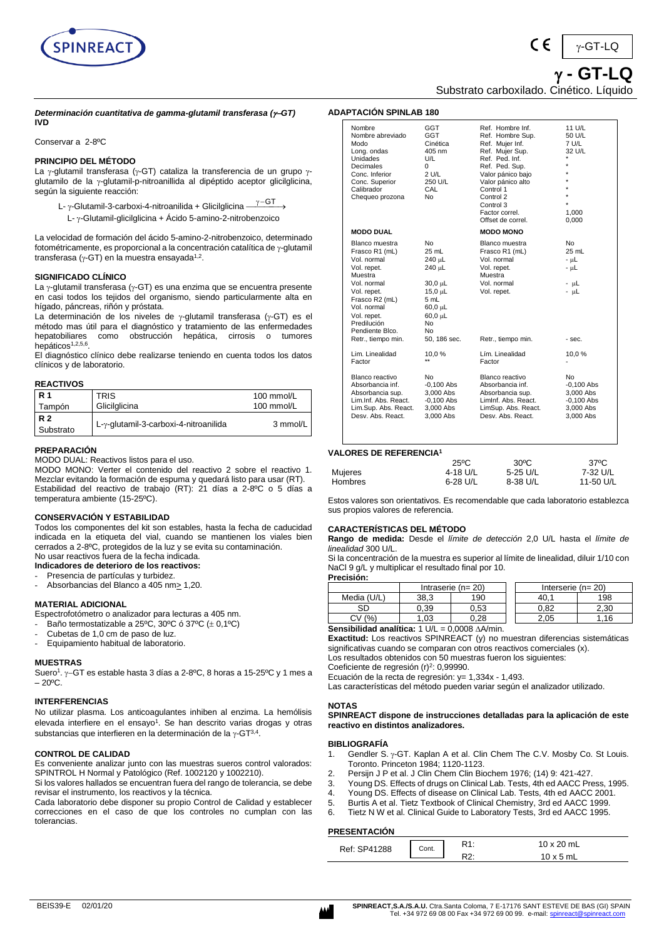

 **- GT-LQ**  $v$ -GT-LQ

Substrato carboxilado. Cinético. Líquido

*Determinación cuantitativa de gamma-glutamil transferasa (*−*GT)* **IVD**

Conservar a 2-8ºC

### **PRINCIPIO DEL MÉTODO**

La  $\gamma$ -glutamil transferasa ( $\gamma$ -GT) cataliza la transferencia de un grupo  $\gamma$ glutamilo de la  $\gamma$ -glutamil-p-nitroanillida al dipéptido aceptor glicilglicina, según la siguiente reacción:

L- γ-Glutamil-3-carboxi-4-nitroanilida + Glicilglicina  $\overset{\gamma-\textsf{GT}}{\longrightarrow}$ 

L-  $\gamma$ -Glutamil-glicilglicina + Ácido 5-amino-2-nitrobenzoico

La velocidad de formación del ácido 5-amino-2-nitrobenzoico, determinado fotométricamente, es proporcional a la concentración catalítica de  $\gamma$ -glutamil transferasa ( $\gamma$ -GT) en la muestra ensayada $^{1,2}.$ 

#### **SIGNIFICADO CLÍNICO**

La  $\gamma$ -glutamil transferasa ( $\gamma$ -GT) es una enzima que se encuentra presente en casi todos los tejidos del organismo, siendo particularmente alta en hígado, páncreas, riñón y próstata.

La determinación de los niveles de  $\gamma$ -glutamil transferasa ( $\gamma$ -GT) es el método mas útil para el diagnóstico y tratamiento de las enfermedades hepatobiliares como obstrucción hepática, cirrosis o tumores hepáticos<sup>1,2,5,6</sup>.

El diagnóstico clínico debe realizarse teniendo en cuenta todos los datos clínicos y de laboratorio.

#### **REACTIVOS**

| <b>R</b> 1             | <b>TRIS</b>                           | 100 mmol/L |
|------------------------|---------------------------------------|------------|
| Tampón                 | Glicilglicina                         | 100 mmol/L |
| <b>R2</b><br>Substrato | L-y-glutamil-3-carboxi-4-nitroanilida | 3 mmol/L   |

#### **PREPARACIÓN**

MODO DUAL: Reactivos listos para el uso.

MODO MONO: Verter el contenido del reactivo 2 sobre el reactivo 1. Mezclar evitando la formación de espuma y quedará listo para usar (RT). Estabilidad del reactivo de trabajo (RT): 21 días a 2-8ºC o 5 días a temperatura ambiente (15-25ºC).

### **CONSERVACIÓN Y ESTABILIDAD**

Todos los componentes del kit son estables, hasta la fecha de caducidad indicada en la etiqueta del vial, cuando se mantienen los viales bien cerrados a 2-8ºC, protegidos de la luz y se evita su contaminación. No usar reactivos fuera de la fecha indicada.

#### **Indicadores de deterioro de los reactivos:**

Presencia de partículas y turbidez.

Absorbancias del Blanco a 405 nm > 1,20.

#### **MATERIAL ADICIONAL**

Espectrofotómetro o analizador para lecturas a 405 nm.

- Baño termostatizable a 25°C, 30°C ó 37°C  $(\pm 0,1$ °C)
- Cubetas de 1,0 cm de paso de luz.
- Equipamiento habitual de laboratorio.

#### **MUESTRAS**

Suero<sup>1</sup>. γ–GT es estable hasta 3 días a 2-8ºC, 8 horas a 15-25ºC y 1 mes a  $-20^{\circ}$ C.

## **INTERFERENCIAS**

No utilizar plasma. Los anticoagulantes inhiben al enzima. La hemólisis elevada interfiere en el ensayo<sup>1</sup>. Se han descrito varias drogas y otras substancias que interfieren en la determinación de la  $\gamma$ -GT<sup>3,4</sup>.

### **CONTROL DE CALIDAD**

Es conveniente analizar junto con las muestras sueros control valorados: SPINTROL H Normal y Patológico (Ref. 1002120 y 1002210).

Si los valores hallados se encuentran fuera del rango de tolerancia, se debe revisar el instrumento, los reactivos y la técnica.

Cada laboratorio debe disponer su propio Control de Calidad y establecer correcciones en el caso de que los controles no cumplan con las tolerancias.

| <b>ADAPTACIÓN SPINLAB 180</b>                                                                                                                                                             |                                                                                                                              |                                                                                                                                                                                                                                        |                                                                                                   |
|-------------------------------------------------------------------------------------------------------------------------------------------------------------------------------------------|------------------------------------------------------------------------------------------------------------------------------|----------------------------------------------------------------------------------------------------------------------------------------------------------------------------------------------------------------------------------------|---------------------------------------------------------------------------------------------------|
| Nombre<br>Nombre abreviado<br>Modo<br>Long. ondas<br><b>Unidades</b><br>Decimales<br>Conc. Inferior<br>Conc. Superior<br>Calibrador<br>Chequeo prozona                                    | GGT<br><b>GGT</b><br>Cinética<br>405 nm<br>U/L<br>$\Omega$<br>2 U/L<br>250 U/L<br>CAL<br>No.                                 | Ref. Hombre Inf.<br>Ref. Hombre Sup.<br>Ref. Mujer Inf.<br>Ref. Mujer Sup.<br>Ref. Ped. Inf.<br>Ref. Ped. Sup.<br>Valor pánico bajo<br>Valor pánico alto<br>Control 1<br>Control 2<br>Control 3<br>Factor correl.<br>Offset de correl. | 11 U/L<br>50 U/L<br>7 U/L<br>32 U/L<br>$\star$<br>$\star$<br>$\star$<br>$\star$<br>1,000<br>0,000 |
| <b>MODO DUAL</b>                                                                                                                                                                          |                                                                                                                              | <b>MODO MONO</b>                                                                                                                                                                                                                       |                                                                                                   |
| Blanco muestra<br>Frasco R1 (mL)<br>Vol. normal<br>Vol. repet.<br>Muestra<br>Vol. normal<br>Vol. repet.<br>Frasco R2 (mL)<br>Vol. normal<br>Vol. repet.<br>Predilución<br>Pendiente Blco. | No.<br>25 mL<br>$240 \mu L$<br>240 µL<br>30,0 µL<br>$15.0 \mu L$<br>5 mL<br>60,0 µL<br>$60.0 \mu L$<br>No.<br>N <sub>0</sub> | Blanco muestra<br>Frasco R1 (mL)<br>Vol. normal<br>Vol. repet.<br>Muestra<br>Vol. normal<br>Vol. repet.                                                                                                                                | No.<br>25 mL<br>- սԼ<br>$- \mu L$<br>$- \mu L$<br>- uL                                            |
| Retr., tiempo min.                                                                                                                                                                        | 50, 186 sec.                                                                                                                 | Retr., tiempo min.                                                                                                                                                                                                                     | - sec.                                                                                            |
| Lim. Linealidad<br>Factor                                                                                                                                                                 | 10,0%                                                                                                                        | Lím. Linealidad<br>Factor                                                                                                                                                                                                              | 10,0%                                                                                             |
| Blanco reactivo<br>Absorbancia inf.<br>Absorbancia sup.<br>Lim.Inf. Abs. React.<br>Lim.Sup. Abs. React.<br>Desv. Abs. React.                                                              | No.<br>$-0,100$ Abs<br>3,000 Abs<br>$-0,100$ Abs<br>3,000 Abs<br>3,000 Abs                                                   | Blanco reactivo<br>Absorbancia inf.<br>Absorbancia sup.<br>Liminf, Abs. React.<br>LimSup. Abs. React.<br>Desv. Abs. React.                                                                                                             | No.<br>$-0,100$ Abs<br>3,000 Abs<br>$-0.100$ Abs<br>3,000 Abs<br>3,000 Abs                        |

#### **VALORES DE REFERENCIA<sup>1</sup>**

|                | $25^{\circ}$ C | $30^{\circ}$ C | $37^{\circ}$ C |
|----------------|----------------|----------------|----------------|
| Mujeres        | 4-18 U/L       | 5-25 U/L       | 7-32 U/L       |
| <b>Hombres</b> | 6-28 U/L       | 8-38 U/L       | 11-50 U/L      |

Estos valores son orientativos. Es recomendable que cada laboratorio establezca sus propios valores de referencia.

#### **CARACTERÍSTICAS DEL MÉTODO**

**Rango de medida:** Desde el *límite de detección* 2,0 U/L hasta el *límite de linealidad* 300 U/L.

Si la concentración de la muestra es superior al límite de linealidad, diluir 1/10 con NaCl 9 g/L y multiplicar el resultado final por 10.

| Precisión:          |                   |                     |                         |      |
|---------------------|-------------------|---------------------|-------------------------|------|
|                     |                   | Intraserie $(n=20)$ | Interserie ( $n = 20$ ) |      |
| Media (U/L)         | 38.3              | 190                 |                         | 198  |
| SD                  | 0.39              | 0.53                | 0.82                    | 2.30 |
| $\frac{1}{2}$<br>СV | $\overline{0.03}$ | 0.28                | 2.05                    | .16  |
|                     |                   | 0.0000111           |                         |      |

Sensibilidad analítica: 1 U/L = 0,0008  $\triangle A/min$ .

**Exactitud:** Los reactivos SPINREACT (y) no muestran diferencias sistemáticas significativas cuando se comparan con otros reactivos comerciales (x). Los resultados obtenidos con 50 muestras fueron los siguientes:

Coeficiente de regresión (r)<sup>2</sup>: 0,99990.

Ecuación de la recta de regresión: y= 1,334x - 1,493.

Las características del método pueden variar según el analizador utilizado.

#### **NOTAS**

**SPINREACT dispone de instrucciones detalladas para la aplicación de este reactivo en distintos analizadores.** 

#### **BIBLIOGRAFÍA**

- 1. Gendler S. γ-GT. Kaplan A et al. Clin Chem The C.V. Mosby Co. St Louis. Toronto. Princeton 1984; 1120-1123.
- 2. Persijn J P et al. J Clin Chem Clin Biochem 1976; (14) 9: 421-427.
- 3. Young DS. Effects of drugs on Clinical Lab. Tests, 4th ed AACC Press, 1995.
- 4. Young DS. Effects of disease on Clinical Lab. Tests, 4th ed AACC 2001.
- 5. Burtis A et al. Tietz Textbook of Clinical Chemistry, 3rd ed AACC 1999.
- 6. Tietz N W et al. Clinical Guide to Laboratory Tests, 3rd ed AACC 1995.

### **PRESENTACIÓN**

| Ref: SP41288 | Cont. | <b>\i</b> .      | 10 x 20 mL |
|--------------|-------|------------------|------------|
|              |       | . מם<br><b>`</b> | 5 mL       |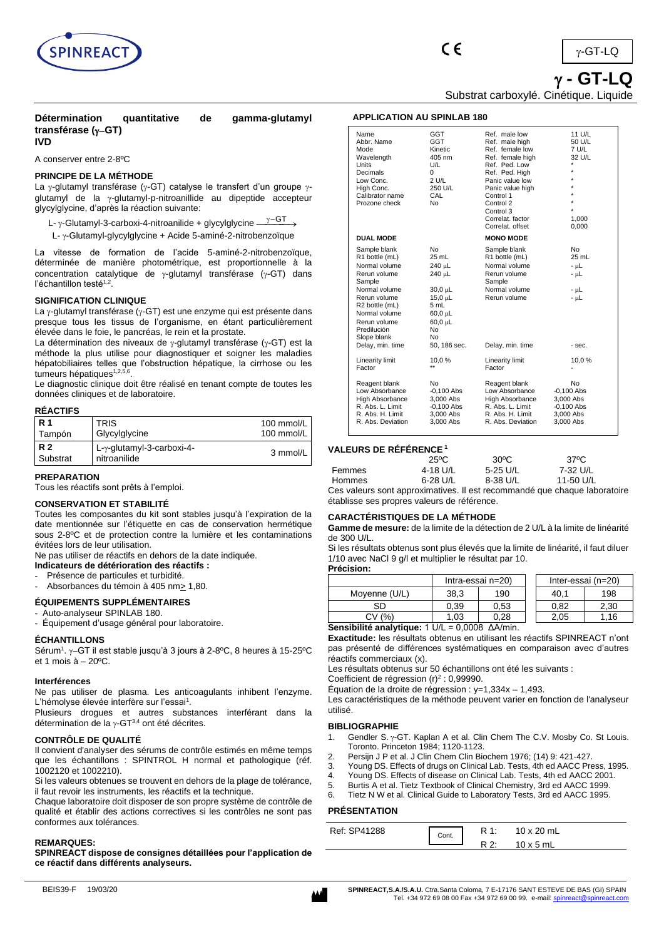

**- GT-LQ**

Substrat carboxylé. Cinétique. Liquide

# **Détermination quantitative de gamma-glutamyl transférase (**−**GT)**

# **IVD**

A conserver entre 2-8ºC

## **PRINCIPE DE LA MÉTHODE**

La  $\gamma$ -glutamyl transférase ( $\gamma$ -GT) catalyse le transfert d'un groupe  $\gamma$ glutamyl de la  $\gamma$ -glutamyl-p-nitroanillide au dipeptide accepteur glycylglycine, d'après la réaction suivante:

- L- γ-Glutamyl-3-carboxi-4-nitroanilide + glycylglycine  $\overset{\gamma-\text{GT}}{\longrightarrow}$
- L-  $\gamma$ -Glutamyl-glycylglycine + Acide 5-aminé-2-nitrobenzoïque

La vitesse de formation de l'acide 5-aminé-2-nitrobenzoïque, déterminée de manière photométrique, est proportionnelle à la concentration catalytique de  $\gamma$ -glutamyl transférase ( $\gamma$ -GT) dans l'échantillon testé<sup>1,2</sup>.

## **SIGNIFICATION CLINIQUE**

La  $\gamma$ -glutamyl transférase ( $\gamma$ -GT) est une enzyme qui est présente dans presque tous les tissus de l'organisme, en étant particulièrement élevée dans le foie, le pancréas, le rein et la prostate.

La détermination des niveaux de  $\gamma$ -glutamyl transférase ( $\gamma$ -GT) est la méthode la plus utilise pour diagnostiquer et soigner les maladies hépatobiliaires telles que l'obstruction hépatique, la cirrhose ou les tumeurs hépatiques<sup>1,2,5,6</sup>.

Le diagnostic clinique doit être réalisé en tenant compte de toutes les données cliniques et de laboratoire.

## **RÉACTIFS**

| <b>R</b> 1            | <b>TRIS</b>                               | 100 mmol/L    |
|-----------------------|-------------------------------------------|---------------|
| Tampón                | Glycylglycine                             | 100 mmol/ $L$ |
| <b>R2</b><br>Substrat | L-γ-glutamyl-3-carboxi-4-<br>nitroanilide | 3 mmol/L      |

## **PREPARATION**

Tous les réactifs sont prêts à l'emploi.

### **CONSERVATION ET STABILITÉ**

Toutes les composantes du kit sont stables jusqu'à l'expiration de la date mentionnée sur l'étiquette en cas de conservation hermétique sous 2-8ºC et de protection contre la lumière et les contaminations évitées lors de leur utilisation.

Ne pas utiliser de réactifs en dehors de la date indiquée.

- **Indicateurs de détérioration des réactifs :**
- Présence de particules et turbidité.

Absorbances du témoin à 405 nm > 1,80.

## **ÉQUIPEMENTS SUPPLÉMENTAIRES**

Auto-analyseur SPINLAB 180.

- Équipement d'usage général pour laboratoire.

## **ÉCHANTILLONS**

Sérum<sup>1</sup>. γ–GT il est stable jusqu'à 3 jours à 2-8℃, 8 heures à 15-25℃ et 1 mois  $\dot{a}$  – 20 $^{\circ}$ C.

#### **Interférences**

Ne pas utiliser de plasma. Les anticoagulants inhibent l'enzyme. L'hémolyse élevée interfère sur l'essai<sup>1</sup>.

Plusieurs drogues et autres substances interférant dans la détermination de la  $\gamma$ -GT<sup>3,4</sup> ont été décrites.

## **CONTRÔLE DE QUALITÉ**

Il convient d'analyser des sérums de contrôle estimés en même temps que les échantillons : SPINTROL H normal et pathologique (réf. 1002120 et 1002210).

Si les valeurs obtenues se trouvent en dehors de la plage de tolérance, il faut revoir les instruments, les réactifs et la technique.

Chaque laboratoire doit disposer de son propre système de contrôle de qualité et établir des actions correctives si les contrôles ne sont pas conformes aux tolérances.

#### **REMARQUES:**

**SPINREACT dispose de consignes détaillées pour l'application de ce réactif dans différents analyseurs.**

## **APPLICATION AU SPINLAB 180**

| Name<br>Abbr. Name<br>Mode<br>Wavelength<br><b>Units</b><br>Decimals<br>Low Conc.<br>High Conc.<br>Calibrator name<br>Prozone check                                                         | <b>GGT</b><br><b>GGT</b><br>Kinetic<br>405 nm<br>U/L<br>0<br>2 U/L<br>250 U/L<br>CAL<br><b>No</b>                   | Ref. male low<br>Ref. male high<br>Ref. female low<br>Ref. female high<br>Ref. Ped. Low<br>Ref. Ped. High<br>Panic value low<br>Panic value high<br>Control 1<br>Control 2<br>Control 3<br>Correlat, factor<br>Correlat, offset | 11 U/L<br>50 U/L<br>7 U/L<br>32 U/L<br>*<br>$\star$<br>$\star$<br>$\star$<br>1,000<br>0,000 |
|---------------------------------------------------------------------------------------------------------------------------------------------------------------------------------------------|---------------------------------------------------------------------------------------------------------------------|---------------------------------------------------------------------------------------------------------------------------------------------------------------------------------------------------------------------------------|---------------------------------------------------------------------------------------------|
| <b>DUAL MODE</b>                                                                                                                                                                            |                                                                                                                     | <b>MONO MODE</b>                                                                                                                                                                                                                |                                                                                             |
| Sample blank<br>R1 bottle (mL)<br>Normal volume<br>Rerun volume<br>Sample<br>Normal volume<br>Rerun volume<br>R2 bottle (mL)<br>Normal volume<br>Rerun volume<br>Predilución<br>Slope blank | No<br>25 mL<br>240 µL<br>240 µL<br>$30.0 \mu L$<br>$15.0 \mu L$<br>5 mL<br>$60.0 \mu L$<br>$60.0 \mu L$<br>No<br>No | Sample blank<br>R1 bottle (mL)<br>Normal volume<br>Rerun volume<br>Sample<br>Normal volume<br>Rerun volume                                                                                                                      | N <sub>0</sub><br>25 mL<br>- µL<br>- սԼ<br>- uL<br>- µL                                     |
| Delay, min. time<br>Linearity limit                                                                                                                                                         | 50, 186 sec.<br>10,0%                                                                                               | Delay, min. time<br>Linearity limit                                                                                                                                                                                             | - sec.<br>10,0%                                                                             |
| Factor                                                                                                                                                                                      | $\star\star$                                                                                                        | Factor                                                                                                                                                                                                                          |                                                                                             |
| Reagent blank<br>Low Absorbance<br>High Absorbance<br>R. Abs. L. Limit<br>R. Abs. H. Limit<br>R. Abs. Deviation                                                                             | No.<br>$-0,100$ Abs<br>3,000 Abs<br>$-0,100$ Abs<br>3,000 Abs<br>3,000 Abs                                          | Reagent blank<br>Low Absorbance<br>High Absorbance<br>R. Abs. L. Limit<br>R. Abs. H. Limit<br>R. Abs. Deviation                                                                                                                 | N <sub>0</sub><br>$-0,100$ Abs<br>3.000 Abs<br>$-0,100$ Abs<br>3,000 Abs<br>3,000 Abs       |

## **VALEURS DE RÉFÉRENCE <sup>1</sup>**

|        | $25^{\circ}$ C | $30^{\circ}$ C | 37°C      |  |
|--------|----------------|----------------|-----------|--|
| Femmes | 4-18 U/L       | $5-25$ U/L     | 7-32 U/L  |  |
| Hommes | 6-28 U/L       | 8-38 U/L       | 11-50 U/L |  |
|        |                |                |           |  |

Ces valeurs sont approximatives. Il est recommandé que chaque laboratoire établisse ses propres valeurs de référence.

## **CARACTÉRISTIQUES DE LA MÉTHODE**

**Gamme de mesure:** de la limite de la détection de 2 U/L à la limite de linéarité de 300 U/L.

Si les résultats obtenus sont plus élevés que la limite de linéarité, il faut diluer 1/10 avec NaCl 9 g/l et multiplier le résultat par 10. **Précision:**

|                                                  | Intra-essai n=20) |      |  | Inter-essai (n=20) |      |
|--------------------------------------------------|-------------------|------|--|--------------------|------|
| Moyenne (U/L)                                    | 38.3              | 190  |  | 40.1               | 198  |
| SD                                               | 0.39              | 0.53 |  | 0.82               | 2.30 |
| CV(%)                                            | 1.03              | 0.28 |  | 2.05               | .16  |
| Sansibilité analytique: 1 I I/I – 0 0008, AA/min |                   |      |  |                    |      |

**Sensibilité analytique:** 1 U/L = 0,0008 ΔA/min.

**Exactitude:** les résultats obtenus en utilisant les réactifs SPINREACT n'ont pas présenté de différences systématiques en comparaison avec d'autres réactifs commerciaux (x).

Les résultats obtenus sur 50 échantillons ont été les suivants :

Coefficient de régression  $(r)^2$  : 0,99990.

Équation de la droite de régression :  $y=1,334x - 1,493$ .

Les caractéristiques de la méthode peuvent varier en fonction de l'analyseur utilisé.

#### **BIBLIOGRAPHIE**

- 1. Gendler S. γ-GT. Kaplan A et al. Clin Chem The C.V. Mosby Co. St Louis. Toronto. Princeton 1984; 1120-1123.
- 2. Persijn J P et al. J Clin Chem Clin Biochem 1976; (14) 9: 421-427.
- 3. Young DS. Effects of drugs on Clinical Lab. Tests, 4th ed AACC Press, 1995.
- 4. Young DS. Effects of disease on Clinical Lab. Tests, 4th ed AACC 2001.<br>5. Burtis A et al. Tietz Textbook of Clinical Chemistry. 3rd ed AACC 1999.
- 5. Burtis A et al. Tietz Textbook of Clinical Chemistry, 3rd ed AACC 1999.
- Tietz N W et al. Clinical Guide to Laboratory Tests, 3rd ed AACC 1995.

## **PRÉSENTATION**

| Ref: SP41288 | Cont. | R 1: | 10 x 20 mL       |
|--------------|-------|------|------------------|
|              |       |      | $10 \times 5$ mL |